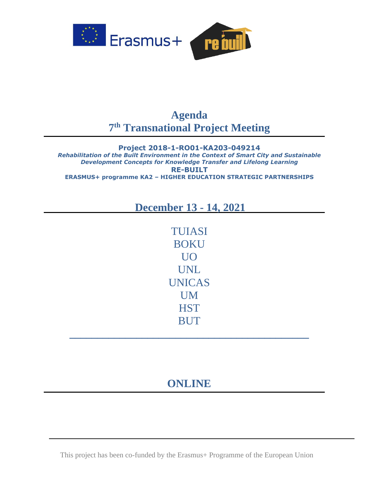

## **Agenda 7 th Transnational Project Meeting**

**Project 2018-1-RO01-KA203-049214** *Rehabilitation of the Built Environment in the Context of Smart City and Sustainable Development Concepts for Knowledge Transfer and Lifelong Learning* **RE-BUILT ERASMUS+ programme KA2 – HIGHER EDUCATION STRATEGIC PARTNERSHIPS**

## **December 13 - 14, 2021**

TUIASI BOKU UO UNL UNICAS UM **HST BUT** 

# **ONLINE**

**\_\_\_\_\_\_\_\_\_\_\_\_\_\_\_\_\_\_\_\_\_\_\_\_\_\_\_\_\_\_\_\_\_\_\_\_\_\_\_\_\_\_\_**

This project has been co-funded by the Erasmus+ Programme of the European Union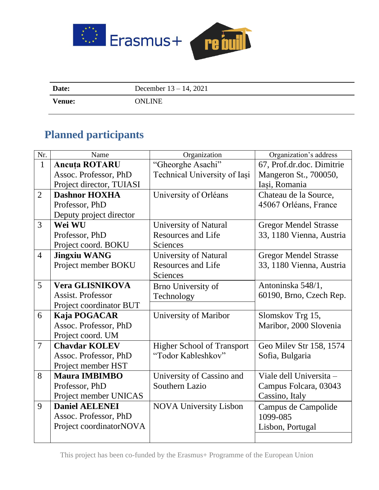

| Date:         | December $13 - 14$ , 2021 |
|---------------|---------------------------|
| <b>Venue:</b> | ONLINE                    |

# **Planned participants**

| Nr.            | Name                     | Organization                      | Organization's address       |
|----------------|--------------------------|-----------------------------------|------------------------------|
| $\mathbf{1}$   | <b>Ancuta ROTARU</b>     | "Gheorghe Asachi"                 | 67, Prof.dr.doc. Dimitrie    |
|                | Assoc. Professor, PhD    | Technical University of Iasi      | Mangeron St., 700050,        |
|                | Project director, TUIASI |                                   | Iași, Romania                |
| $\overline{2}$ | <b>Dashnor HOXHA</b>     | University of Orléans             | Chateau de la Source,        |
|                | Professor, PhD           |                                   | 45067 Orléans, France        |
|                | Deputy project director  |                                   |                              |
| $\overline{3}$ | Wei WU                   | University of Natural             | <b>Gregor Mendel Strasse</b> |
|                | Professor, PhD           | <b>Resources and Life</b>         | 33, 1180 Vienna, Austria     |
|                | Project coord. BOKU      | Sciences                          |                              |
| $\overline{4}$ | <b>Jingxiu WANG</b>      | <b>University of Natural</b>      | <b>Gregor Mendel Strasse</b> |
|                | Project member BOKU      | <b>Resources and Life</b>         | 33, 1180 Vienna, Austria     |
|                |                          | Sciences                          |                              |
| 5              | <b>Vera GLISNIKOVA</b>   | Brno University of                | Antoninska 548/1,            |
|                | <b>Assist. Professor</b> | Technology                        | 60190, Brno, Czech Rep.      |
|                | Project coordinator BUT  |                                   |                              |
| 6              | Kaja POGACAR             | University of Maribor             | Slomskov Trg 15,             |
|                | Assoc. Professor, PhD    |                                   | Maribor, 2000 Slovenia       |
|                | Project coord. UM        |                                   |                              |
| $\tau$         | <b>Chavdar KOLEV</b>     | <b>Higher School of Transport</b> | Geo Milev Str 158, 1574      |
|                | Assoc. Professor, PhD    | "Todor Kableshkov"                | Sofia, Bulgaria              |
|                | Project member HST       |                                   |                              |
| 8              | <b>Maura IMBIMBO</b>     | University of Cassino and         | Viale dell Universita -      |
|                | Professor, PhD           | Southern Lazio                    | Campus Folcara, 03043        |
|                | Project member UNICAS    |                                   | Cassino, Italy               |
| 9              | <b>Daniel AELENEI</b>    | <b>NOVA University Lisbon</b>     | Campus de Campolide          |
|                | Assoc. Professor, PhD    |                                   | 1099-085                     |
|                | Project coordinatorNOVA  |                                   | Lisbon, Portugal             |
|                |                          |                                   |                              |

This project has been co-funded by the Erasmus+ Programme of the European Union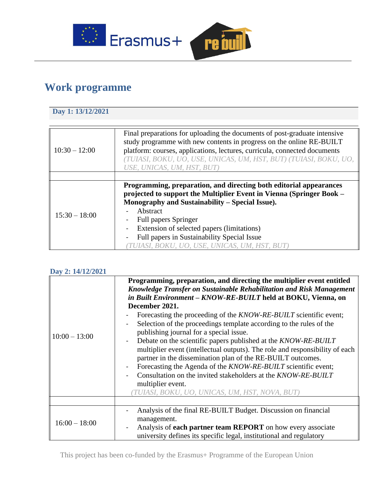

# **Work programme**

### **Day 1: 13/12/2021**

| $10:30 - 12:00$ | Final preparations for uploading the documents of post-graduate intensive<br>study programme with new contents in progress on the online RE-BUILT<br>platform: courses, applications, lectures, curricula, connected documents<br>(TUIASI, BOKU, UO, USE, UNICAS, UM, HST, BUT) (TUIASI, BOKU, UO,<br>USE, UNICAS, UM, HST, BUT)                                                      |
|-----------------|---------------------------------------------------------------------------------------------------------------------------------------------------------------------------------------------------------------------------------------------------------------------------------------------------------------------------------------------------------------------------------------|
|                 |                                                                                                                                                                                                                                                                                                                                                                                       |
| $15:30 - 18:00$ | Programming, preparation, and directing both editorial appearances<br>projected to support the Multiplier Event in Vienna (Springer Book -<br>Monography and Sustainability – Special Issue).<br>Abstract<br><b>Full papers Springer</b><br>Extension of selected papers (limitations)<br>Full papers in Sustainability Special Issue<br>TUIASI, BOKU, UO, USE, UNICAS, UM, HST, BUT) |

### **Day 2: 14/12/2021**

| $10:00 - 13:00$ | Programming, preparation, and directing the multiplier event entitled<br>Knowledge Transfer on Sustainable Rehabilitation and Risk Management<br>in Built Environment - KNOW-RE-BUILT held at BOKU, Vienna, on<br>December 2021.<br>Forecasting the proceeding of the KNOW-RE-BUILT scientific event;<br>Selection of the proceedings template according to the rules of the<br>publishing journal for a special issue.<br>Debate on the scientific papers published at the KNOW-RE-BUILT<br>multiplier event (intellectual outputs). The role and responsibility of each<br>partner in the dissemination plan of the RE-BUILT outcomes.<br>Forecasting the Agenda of the <i>KNOW-RE-BUILT</i> scientific event;<br>Consultation on the invited stakeholders at the KNOW-RE-BUILT<br>multiplier event.<br>TUIASI, BOKU, UO, UNICAS, UM, HST, NOVA, BUT) |
|-----------------|---------------------------------------------------------------------------------------------------------------------------------------------------------------------------------------------------------------------------------------------------------------------------------------------------------------------------------------------------------------------------------------------------------------------------------------------------------------------------------------------------------------------------------------------------------------------------------------------------------------------------------------------------------------------------------------------------------------------------------------------------------------------------------------------------------------------------------------------------------|
|                 |                                                                                                                                                                                                                                                                                                                                                                                                                                                                                                                                                                                                                                                                                                                                                                                                                                                         |
| $16:00 - 18:00$ | Analysis of the final RE-BUILT Budget. Discussion on financial<br>management.<br>Analysis of <b>each partner team REPORT</b> on how every associate<br>university defines its specific legal, institutional and regulatory                                                                                                                                                                                                                                                                                                                                                                                                                                                                                                                                                                                                                              |

This project has been co-funded by the Erasmus+ Programme of the European Union